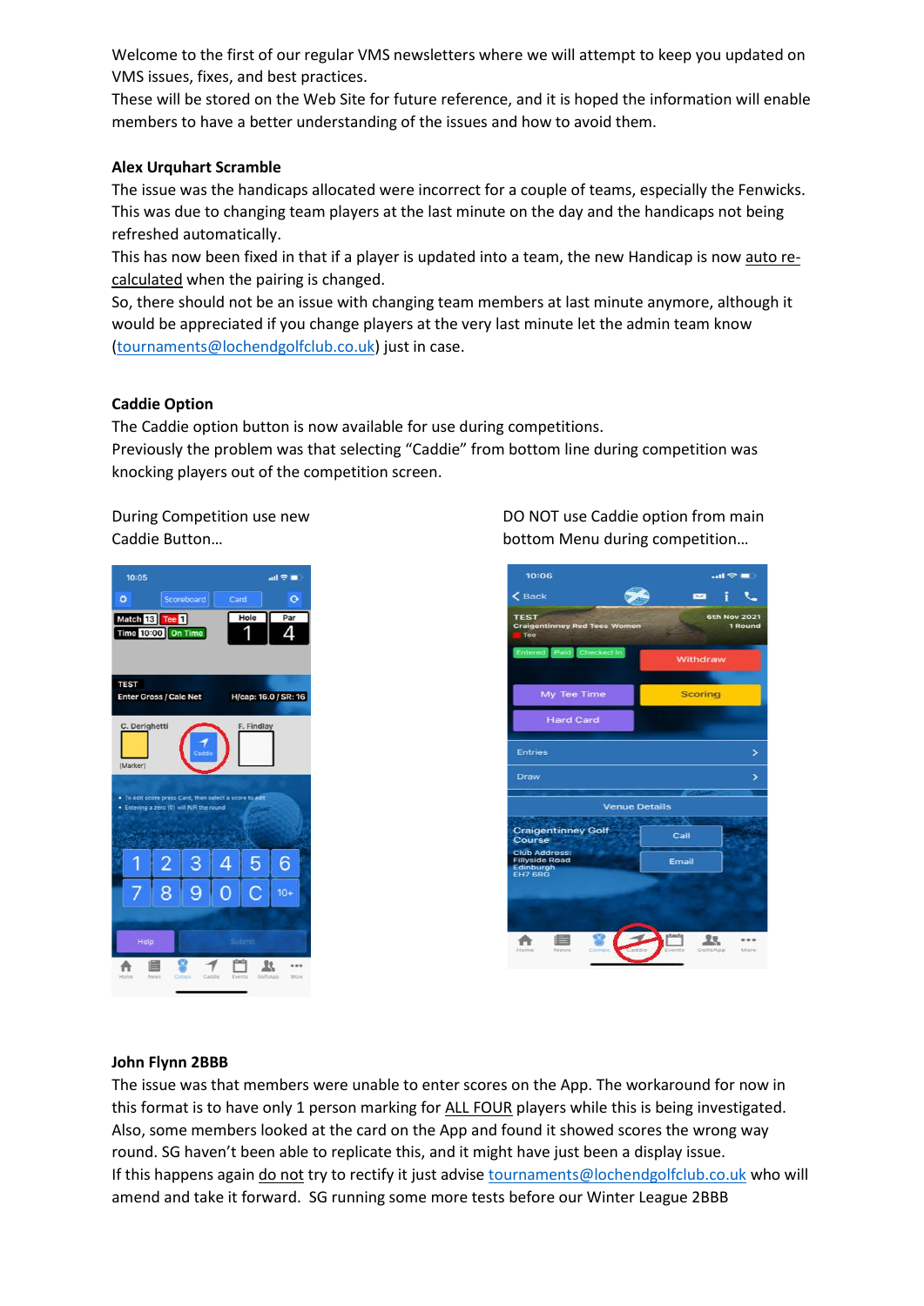Welcome to the first of our regular VMS newsletters where we will attempt to keep you updated on VMS issues, fixes, and best practices.

These will be stored on the Web Site for future reference, and it is hoped the information will enable members to have a better understanding of the issues and how to avoid them.

## **Alex Urquhart Scramble**

The issue was the handicaps allocated were incorrect for a couple of teams, especially the Fenwicks. This was due to changing team players at the last minute on the day and the handicaps not being refreshed automatically.

This has now been fixed in that if a player is updated into a team, the new Handicap is now auto recalculated when the pairing is changed.

So, there should not be an issue with changing team members at last minute anymore, although it would be appreciated if you change players at the very last minute let the admin team know [\(tournaments@lochendgolfclub.co.uk\)](mailto:tournaments@lochendgolfclub.co.uk) just in case.

# **Caddie Option**

The Caddie option button is now available for use during competitions. Previously the problem was that selecting "Caddie" from bottom line during competition was knocking players out of the competition screen.



During Competition use new DO NOT use Caddie option from main Caddie Button… bottom Menu during competition…



## **John Flynn 2BBB**

The issue was that members were unable to enter scores on the App. The workaround for now in this format is to have only 1 person marking for ALL FOUR players while this is being investigated. Also, some members looked at the card on the App and found it showed scores the wrong way round. SG haven't been able to replicate this, and it might have just been a display issue. If this happens again do not try to rectify it just advis[e tournaments@lochendgolfclub.co.uk](mailto:tournaments@lochendgolfclub.co.uk) who will amend and take it forward. SG running some more tests before our Winter League 2BBB